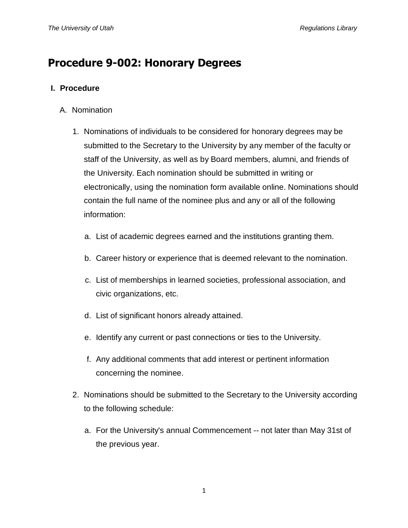## **Procedure 9-002: Honorary Degrees**

## **I. Procedure**

- A. Nomination
	- 1. Nominations of individuals to be considered for honorary degrees may be submitted to the Secretary to the University by any member of the faculty or staff of the University, as well as by Board members, alumni, and friends of the University. Each nomination should be submitted in writing or electronically, using the nomination form available online. Nominations should contain the full name of the nominee plus and any or all of the following information:
		- a. List of academic degrees earned and the institutions granting them.
		- b. Career history or experience that is deemed relevant to the nomination.
		- c. List of memberships in learned societies, professional association, and civic organizations, etc.
		- d. List of significant honors already attained.
		- e. Identify any current or past connections or ties to the University.
		- f. Any additional comments that add interest or pertinent information concerning the nominee.
	- 2. Nominations should be submitted to the Secretary to the University according to the following schedule:
		- a. For the University's annual Commencement -- not later than May 31st of the previous year.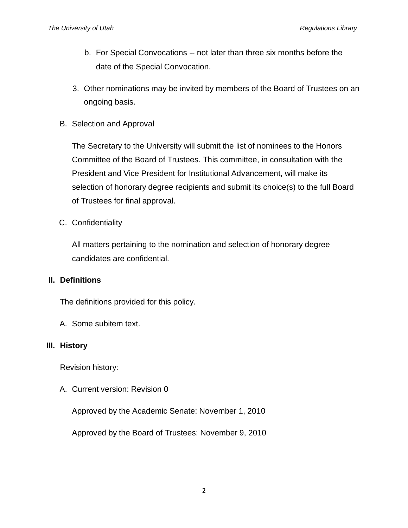- b. For Special Convocations -- not later than three six months before the date of the Special Convocation.
- 3. Other nominations may be invited by members of the Board of Trustees on an ongoing basis.
- B. Selection and Approval

The Secretary to the University will submit the list of nominees to the Honors Committee of the Board of Trustees. This committee, in consultation with the President and Vice President for Institutional Advancement, will make its selection of honorary degree recipients and submit its choice(s) to the full Board of Trustees for final approval.

C. Confidentiality

All matters pertaining to the nomination and selection of honorary degree candidates are confidential.

## **II. Definitions**

The definitions provided for this policy.

A. Some subitem text.

## **III. History**

Revision history:

A. Current version: Revision 0

Approved by the Academic Senate: November 1, 2010

Approved by the Board of Trustees: November 9, 2010